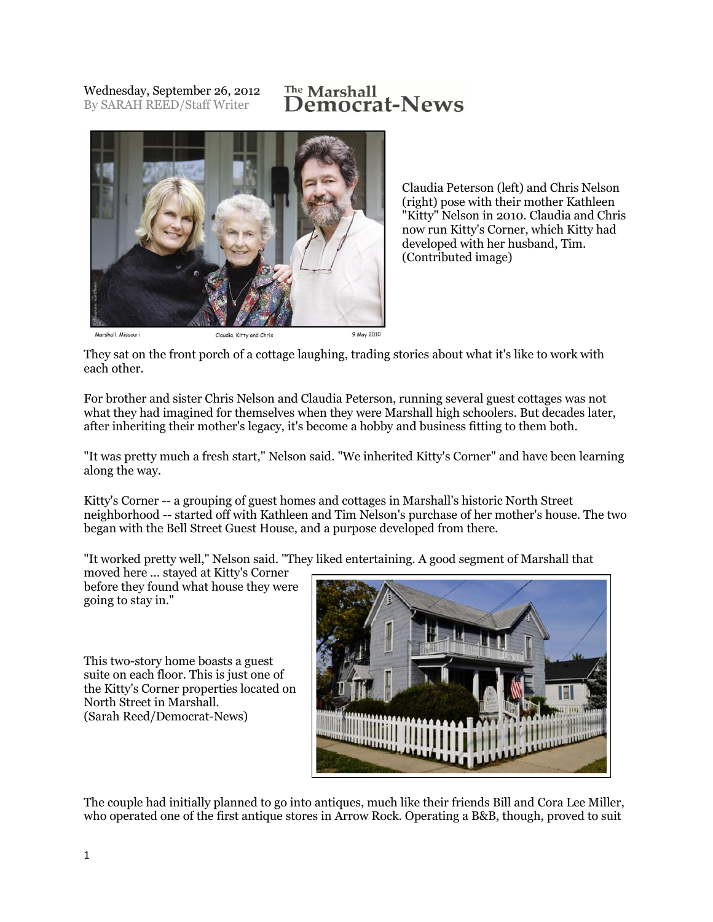Wednesday, September 26, 2012 By SARAH REED/Staff Writer

## The Marshall<br>**Democrat-News**



Claudia Peterson (left) and Chris Nelson (right) pose with their mother Kathleen "Kitty" Nelson in 2010. Claudia and Chris now run Kitty's Corner, which Kitty had developed with her husband, Tim. (Contributed image)

They sat on the front porch of a cottage laughing, trading stories about what it's like to work with each other.

For brother and sister Chris Nelson and Claudia Peterson, running several guest cottages was not what they had imagined for themselves when they were Marshall high schoolers. But decades later, after inheriting their mother's legacy, it's become a hobby and business fitting to them both.

"It was pretty much a fresh start," Nelson said. "We inherited Kitty's Corner" and have been learning along the way.

Kitty's Corner -- a grouping of guest homes and cottages in Marshall's historic North Street neighborhood -- started off with Kathleen and Tim Nelson's purchase of her mother's house. The two began with the Bell Street Guest House, and a purpose developed from there.

"It worked pretty well," Nelson said. "They liked entertaining. A good segment of Marshall that

moved here ... stayed at Kitty's Corner before they found what house they were going to stay in."

This two-story home boasts a guest suite on each floor. This is just one of the Kitty's Corner properties located on North Street in Marshall. (Sarah Reed/Democrat-News)



The couple had initially planned to go into antiques, much like their friends Bill and Cora Lee Miller, who operated one of the first antique stores in Arrow Rock. Operating a B&B, though, proved to suit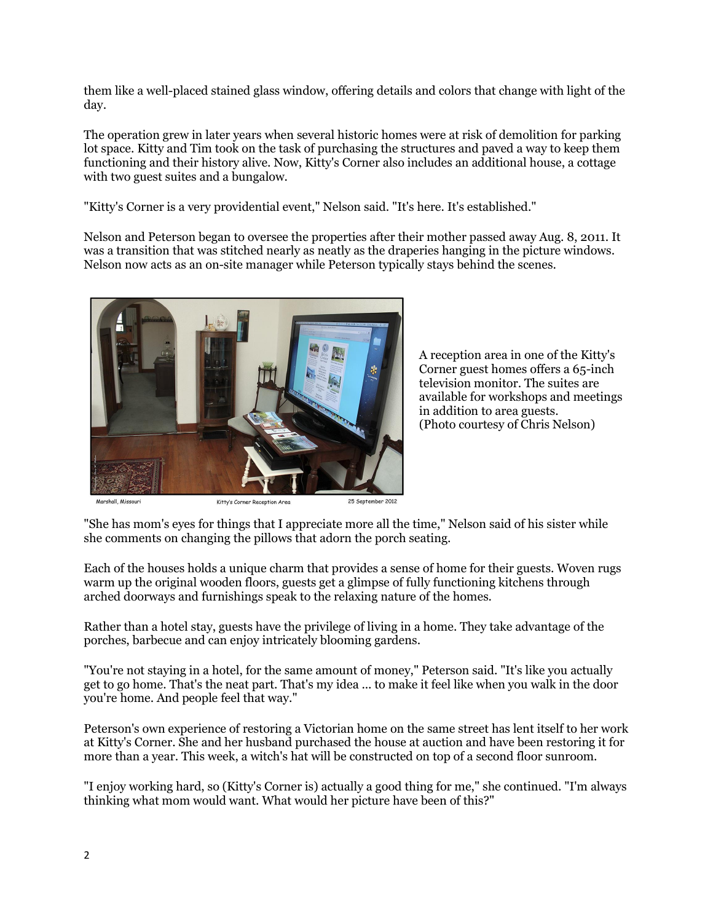them like a well-placed stained glass window, offering details and colors that change with light of the day.

The operation grew in later years when several historic homes were at risk of demolition for parking lot space. Kitty and Tim took on the task of purchasing the structures and paved a way to keep them functioning and their history alive. Now, Kitty's Corner also includes an additional house, a cottage with two guest suites and a bungalow.

"Kitty's Corner is a very providential event," Nelson said. "It's here. It's established."

Nelson and Peterson began to oversee the properties after their mother passed away Aug. 8, 2011. It was a transition that was stitched nearly as neatly as the draperies hanging in the picture windows. Nelson now acts as an on-site manager while Peterson typically stays behind the scenes.



A reception area in one of the Kitty's Corner guest homes offers a 65-inch television monitor. The suites are available for workshops and meetings in addition to area guests. (Photo courtesy of Chris Nelson)

.<br>Marshall, Missour

Kitty's Corner Reception Area

"She has mom's eyes for things that I appreciate more all the time," Nelson said of his sister while she comments on changing the pillows that adorn the porch seating.

Each of the houses holds a unique charm that provides a sense of home for their guests. Woven rugs warm up the original wooden floors, guests get a glimpse of fully functioning kitchens through arched doorways and furnishings speak to the relaxing nature of the homes.

Rather than a hotel stay, guests have the privilege of living in a home. They take advantage of the porches, barbecue and can enjoy intricately blooming gardens.

"You're not staying in a hotel, for the same amount of money," Peterson said. "It's like you actually get to go home. That's the neat part. That's my idea ... to make it feel like when you walk in the door you're home. And people feel that way."

Peterson's own experience of restoring a Victorian home on the same street has lent itself to her work at Kitty's Corner. She and her husband purchased the house at auction and have been restoring it for more than a year. This week, a witch's hat will be constructed on top of a second floor sunroom.

"I enjoy working hard, so (Kitty's Corner is) actually a good thing for me," she continued. "I'm always thinking what mom would want. What would her picture have been of this?"

<sup>25</sup> September 2012